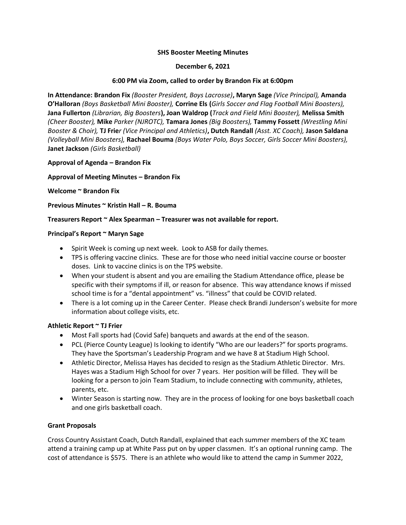#### **SHS Booster Meeting Minutes**

#### **December 6, 2021**

# **6:00 PM via Zoom, called to order by Brandon Fix at 6:00pm**

**In Attendance: Brandon Fix** *(Booster President, Boys Lacrosse)***, Maryn Sage** *(Vice Principal),* **Amanda O'Halloran** *(Boys Basketball Mini Booster),* **Corrine Els (***Girls Soccer and Flag Football Mini Boosters),* **Jana Fullerton** *(Librarian, Big Boosters***), Joan Waldrop (***Track and Field Mini Booster),* **Melissa Smith**  *(Cheer Booster),* **Mike** *Parker (NJROTC),* **Tamara Jones** *(Big Boosters),* **Tammy Fossett** *(Wrestling Mini Booster & Choir),* **TJ Frie***r (Vice Principal and Athletics)***, Dutch Randall** *(Asst. XC Coach),* **Jason Saldana**  *(Volleyball Mini Boosters),* **Rachael Bouma** *(Boys Water Polo, Boys Soccer, Girls Soccer Mini Boosters),*  **Janet Jackson** *(Girls Basketball)*

## **Approval of Agenda – Brandon Fix**

## **Approval of Meeting Minutes – Brandon Fix**

## **Welcome ~ Brandon Fix**

**Previous Minutes ~ Kristin Hall – R. Bouma** 

## **Treasurers Report ~ Alex Spearman – Treasurer was not available for report.**

## **Principal's Report ~ Maryn Sage**

- Spirit Week is coming up next week. Look to ASB for daily themes.
- TPS is offering vaccine clinics. These are for those who need initial vaccine course or booster doses. Link to vaccine clinics is on the TPS website.
- When your student is absent and you are emailing the Stadium Attendance office, please be specific with their symptoms if ill, or reason for absence. This way attendance knows if missed school time is for a "dental appointment" vs. "illness" that could be COVID related.
- There is a lot coming up in the Career Center. Please check Brandi Junderson's website for more information about college visits, etc.

#### **Athletic Report ~ TJ Frier**

- Most Fall sports had (Covid Safe) banquets and awards at the end of the season.
- PCL (Pierce County League) Is looking to identify "Who are our leaders?" for sports programs. They have the Sportsman's Leadership Program and we have 8 at Stadium High School.
- Athletic Director, Melissa Hayes has decided to resign as the Stadium Athletic Director. Mrs. Hayes was a Stadium High School for over 7 years. Her position will be filled. They will be looking for a person to join Team Stadium, to include connecting with community, athletes, parents, etc.
- Winter Season is starting now. They are in the process of looking for one boys basketball coach and one girls basketball coach.

# **Grant Proposals**

Cross Country Assistant Coach, Dutch Randall, explained that each summer members of the XC team attend a training camp up at White Pass put on by upper classmen. It's an optional running camp. The cost of attendance is \$575. There is an athlete who would like to attend the camp in Summer 2022,